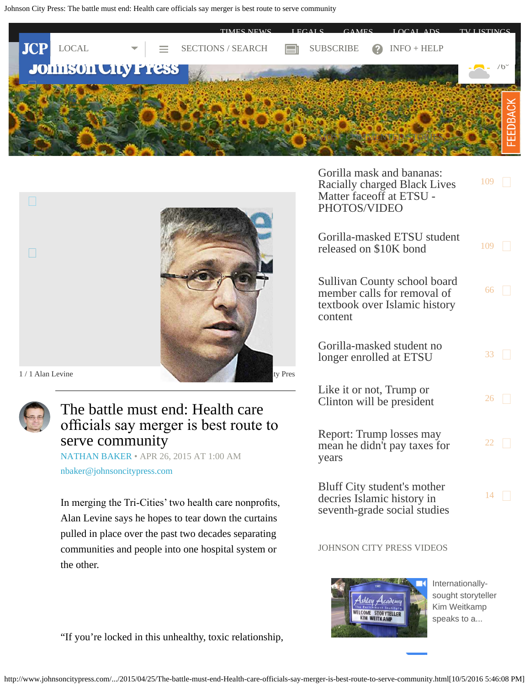<span id="page-0-0"></span>Johnson City Press: The battle must end: Health care officials say merger is best route to serve community





![](_page_0_Picture_3.jpeg)

# The battle must end: Health care officials say merger is best route to serve community

[NATHAN BAKER](http://www.johnsoncitypress.com/authors?user=nathan%20baker) • APR 26, 2015 AT 1:00 AM [nbaker@johnsoncitypress.com](mailto:nbaker@johnsoncitypress.com)

In merging the Tri-Cities' two health care nonprofts, Alan Levine says he hopes to tear down the curtains pulled in place over the past two decades separating communities and people into one hospital system or the other.

[Gorilla mask and bananas:](http://www.johnsoncitypress.com/Education/2016/09/28/Gorilla-mask-and-bananas-Racially-charged-Black-Lives-Matter-faceoff-at-ETSU?ci=mostcommented&lp=1) [Racially charged Black Lives](http://www.johnsoncitypress.com/Education/2016/09/28/Gorilla-mask-and-bananas-Racially-charged-Black-Lives-Matter-faceoff-at-ETSU?ci=mostcommented&lp=1) [Matter faceoff at ETSU -](http://www.johnsoncitypress.com/Education/2016/09/28/Gorilla-mask-and-bananas-Racially-charged-Black-Lives-Matter-faceoff-at-ETSU?ci=mostcommented&lp=1) [PHOTOS/VIDEO](http://www.johnsoncitypress.com/Education/2016/09/28/Gorilla-mask-and-bananas-Racially-charged-Black-Lives-Matter-faceoff-at-ETSU?ci=mostcommented&lp=1)  $109$   $\Box$ [Gorilla-masked ETSU student](http://www.johnsoncitypress.com/law-enforcement/2016/09/29/Gorilla-masked-ETSU-student-released-on-10K-bond?ci=mostcommented&lp=2) released on  $$10K$  bond  $109$ [Sullivan County school board](http://www.johnsoncitypress.com/Education/2016/10/04/Ireson-calls-for-removal-of-Pearson-seventh-grade-history-text-from-Sullivan-schools?ci=mostcommented&lp=3) [member calls for removal of](http://www.johnsoncitypress.com/Education/2016/10/04/Ireson-calls-for-removal-of-Pearson-seventh-grade-history-text-from-Sullivan-schools?ci=mostcommented&lp=3) [textbook over Islamic history](http://www.johnsoncitypress.com/Education/2016/10/04/Ireson-calls-for-removal-of-Pearson-seventh-grade-history-text-from-Sullivan-schools?ci=mostcommented&lp=3) [content](http://www.johnsoncitypress.com/Education/2016/10/04/Ireson-calls-for-removal-of-Pearson-seventh-grade-history-text-from-Sullivan-schools?ci=mostcommented&lp=3) [66](http://www.johnsoncitypress.com/Education/2016/10/04/Ireson-calls-for-removal-of-Pearson-seventh-grade-history-text-from-Sullivan-schools?ci=mostcommented&lp=3#comments) [Gorilla-masked student no](http://www.johnsoncitypress.com/Education/2016/09/30/Gorilla-masked-student-no-longer-enrolled-at-ETSU?ci=mostcommented&lp=4) [longer enrolled at ETSU](http://www.johnsoncitypress.com/Education/2016/09/30/Gorilla-masked-student-no-longer-enrolled-at-ETSU?ci=mostcommented&lp=4)  $33 \Box$  $33 \Box$ [Like it or not, Trump or](http://www.johnsoncitypress.com/Editorial/2016/10/02/Ready-or-not-one-will-soon-be-president?ci=mostcommented&lp=5) [Clinton will be president](http://www.johnsoncitypress.com/Editorial/2016/10/02/Ready-or-not-one-will-soon-be-president?ci=mostcommented&lp=5)  $^{26}$  $^{26}$  $^{26}$ [Report: Trump losses may](http://www.johnsoncitypress.com/News/2016/10/02/Report-Trump-losses-may-mean-he-didn-t-pay-taxes-for-years?ci=mostcommented&lp=6) [mean he didn't pay taxes for](http://www.johnsoncitypress.com/News/2016/10/02/Report-Trump-losses-may-mean-he-didn-t-pay-taxes-for-years?ci=mostcommented&lp=6) [years](http://www.johnsoncitypress.com/News/2016/10/02/Report-Trump-losses-may-mean-he-didn-t-pay-taxes-for-years?ci=mostcommented&lp=6) [22](http://www.johnsoncitypress.com/News/2016/10/02/Report-Trump-losses-may-mean-he-didn-t-pay-taxes-for-years?ci=mostcommented&lp=6#comments)  $\Box$ [Bluff City student's mother](http://www.johnsoncitypress.com/Local/2016/09/28/Bluff-City-student-s-mother-decries-Islamic-history-in-seventh-grade-social-studies?ci=mostcommented&lp=7) [decries Islamic history in](http://www.johnsoncitypress.com/Local/2016/09/28/Bluff-City-student-s-mother-decries-Islamic-history-in-seventh-grade-social-studies?ci=mostcommented&lp=7) [seventh-grade social studies](http://www.johnsoncitypress.com/Local/2016/09/28/Bluff-City-student-s-mother-decries-Islamic-history-in-seventh-grade-social-studies?ci=mostcommented&lp=7)  $14$ 

JOHNSON CITY PRESS VIDEOS

![](_page_0_Picture_9.jpeg)

[Internationally](http://videos.johnsoncitypress.com/johnsoncitypress/svr41c?v=autoplay_postroll&e=e0018&opn=right_rail_embed)[sought storyteller](http://videos.johnsoncitypress.com/johnsoncitypress/svr41c?v=autoplay_postroll&e=e0018&opn=right_rail_embed) [Kim Weitkamp](http://videos.johnsoncitypress.com/johnsoncitypress/svr41c?v=autoplay_postroll&e=e0018&opn=right_rail_embed) [speaks to a...](http://videos.johnsoncitypress.com/johnsoncitypress/svr41c?v=autoplay_postroll&e=e0018&opn=right_rail_embed)

"If you're locked in this unhealthy, toxic relationship,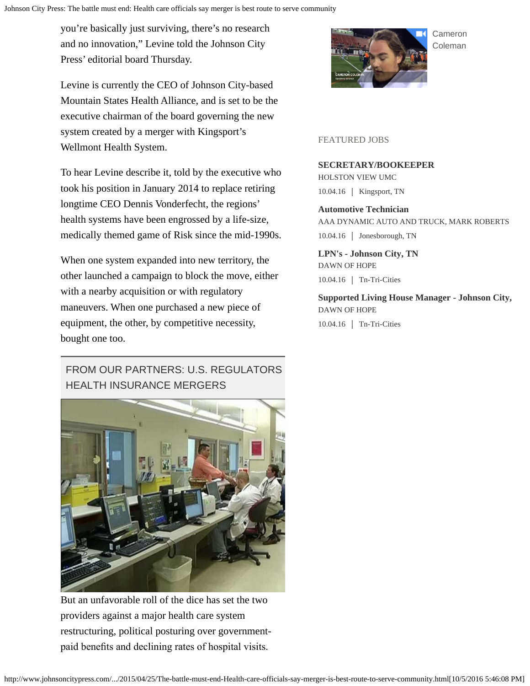you're basically just surviving, there's no research and no innovation," Levine told the Johnson City Press' editorial board Thursday.

Levine is currently the CEO of Johnson City-based Mountain States Health Alliance, and is set to be the executive chairman of the board governing the new system created by a merger with Kingsport's Wellmont Health System.

To hear Levine describe it, told by the executive who took his position in January 2014 to replace retiring longtime CEO Dennis Vonderfecht, the regions' health systems have been engrossed by a life-size, medically themed game of Risk since the mid-1990s.

When one system expanded into new territory, the other launched a campaign to block the move, either with a nearby acquisition or with regulatory maneuvers. When one purchased a new piece of equipment, the other, by competitive necessity, bought one too.

# FROM OUR PARTNERS: U.S. REGULATORS HEALTH INSURANCE MERGERS

![](_page_1_Picture_6.jpeg)

But an unfavorable roll of the dice has set the two providers against a major health care system restructuring, political posturing over governmentpaid benefts and declining rates of hospital visits.

![](_page_1_Picture_8.jpeg)

#### [Cameron](http://videos.johnsoncitypress.com/johnsoncitypress/k0popu?v=autoplay_postroll&e=e0018&opn=right_rail_embed) [Coleman](http://videos.johnsoncitypress.com/johnsoncitypress/k0popu?v=autoplay_postroll&e=e0018&opn=right_rail_embed)

#### FEATURED JOBS

#### **SECRETARY/BOOKEEPER**

HOLSTON VIEW UMC 10.04.16 | Kingsport, TN

**Automotive Technician** AAA DYNAMIC AUTO AND TRUCK, MARK ROBERTS 10.04.16 | Jonesborough, TN

**LPN's - Johnson City, TN** DAWN OF HOPE 10.04.16 Tn-Tri-Cities

**Supported Living House Manager - Johnson City,**  DAWN OF HOPE 10.04.16 Tn-Tri-Cities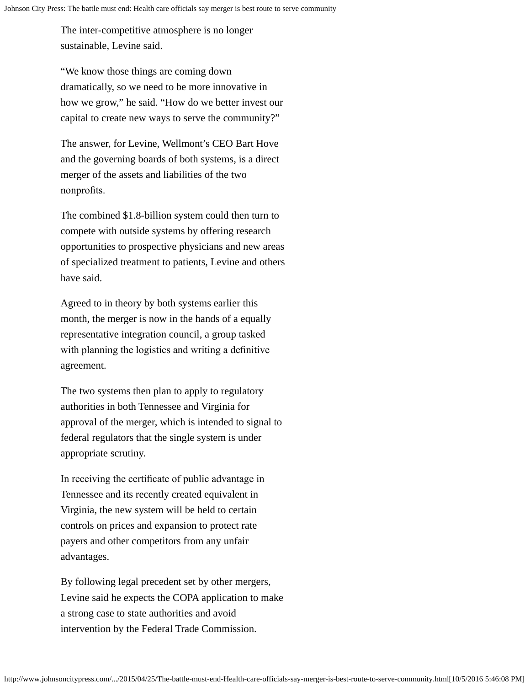The inter-competitive atmosphere is no longer sustainable, Levine said.

"We know those things are coming down dramatically, so we need to be more innovative in how we grow," he said. "How do we better invest our capital to create new ways to serve the community?"

The answer, for Levine, Wellmont's CEO Bart Hove and the governing boards of both systems, is a direct merger of the assets and liabilities of the two nonprofits.

The combined \$1.8-billion system could then turn to compete with outside systems by offering research opportunities to prospective physicians and new areas of specialized treatment to patients, Levine and others have said.

Agreed to in theory by both systems earlier this month, the merger is now in the hands of a equally representative integration council, a group tasked with planning the logistics and writing a definitive agreement.

The two systems then plan to apply to regulatory authorities in both Tennessee and Virginia for approval of the merger, which is intended to signal to federal regulators that the single system is under appropriate scrutiny.

In receiving the certifcate of public advantage in Tennessee and its recently created equivalent in Virginia, the new system will be held to certain controls on prices and expansion to protect rate payers and other competitors from any unfair advantages.

By following legal precedent set by other mergers, Levine said he expects the COPA application to make a strong case to state authorities and avoid intervention by the Federal Trade Commission.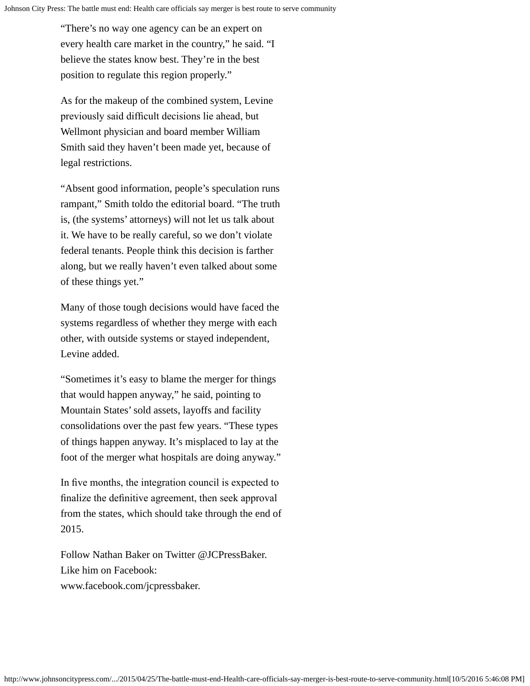"There's no way one agency can be an expert on every health care market in the country," he said. "I believe the states know best. They're in the best position to regulate this region properly."

As for the makeup of the combined system, Levine previously said diffcult decisions lie ahead, but Wellmont physician and board member William Smith said they haven't been made yet, because of legal restrictions.

"Absent good information, people's speculation runs rampant," Smith toldo the editorial board. "The truth is, (the systems' attorneys) will not let us talk about it. We have to be really careful, so we don't violate federal tenants. People think this decision is farther along, but we really haven't even talked about some of these things yet."

Many of those tough decisions would have faced the systems regardless of whether they merge with each other, with outside systems or stayed independent, Levine added.

"Sometimes it's easy to blame the merger for things that would happen anyway," he said, pointing to Mountain States' sold assets, layoffs and facility consolidations over the past few years. "These types of things happen anyway. It's misplaced to lay at the foot of the merger what hospitals are doing anyway."

In fve months, the integration council is expected to fnalize the defnitive agreement, then seek approval from the states, which should take through the end of 2015.

Follow Nathan Baker on Twitter @JCPressBaker. Like him on Facebook: www.facebook.com/jcpressbaker.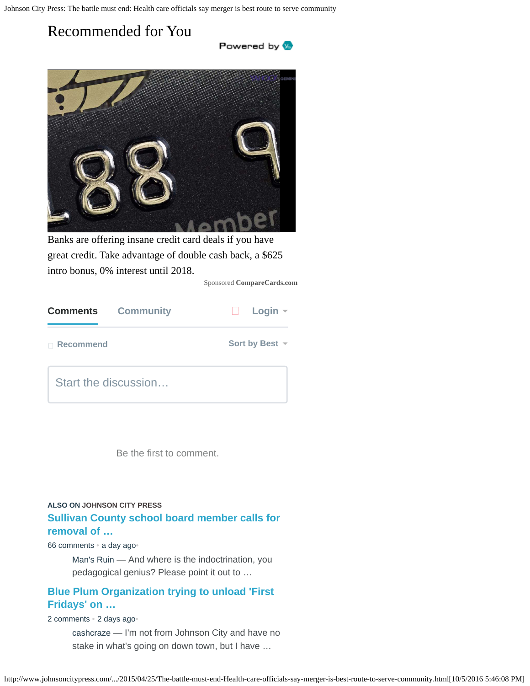# Recommended for You

![](_page_4_Picture_2.jpeg)

![](_page_4_Picture_3.jpeg)

Banks are offering insane credit card deals if you have great credit. Take advantage of double cash back, a \$625 intro bonus, 0% interest until 2018.

Sponsored **CompareCards.com**

| <b>Comments</b> | <b>Community</b>     | Login $\sim$        |
|-----------------|----------------------|---------------------|
| □ Recommend     |                      | Sort by Best $\sim$ |
|                 | Start the discussion |                     |

Be the first to comment.

## **[Sullivan County school board member calls for](http://disq.us/url?url=http%3A%2F%2Fwww.johnsoncitypress.com%2FEducation%2F2016%2F10%2F04%2FIreson-calls-for-removal-of-Pearson-seventh-grade-history-text-from-Sullivan-schools%3AF_TIlIU59GbO8FQdRtCQuS1fs74&imp=58ajila2b06fo&prev_imp&forum_id=3675589&forum=sngjohnsoncitypress&thread_id=3939890509&thread=5195820752&zone=thread&area=bottom&object_type=thread&object_id=5195820752) [removal of …](http://disq.us/url?url=http%3A%2F%2Fwww.johnsoncitypress.com%2FEducation%2F2016%2F10%2F04%2FIreson-calls-for-removal-of-Pearson-seventh-grade-history-text-from-Sullivan-schools%3AF_TIlIU59GbO8FQdRtCQuS1fs74&imp=58ajila2b06fo&prev_imp&forum_id=3675589&forum=sngjohnsoncitypress&thread_id=3939890509&thread=5195820752&zone=thread&area=bottom&object_type=thread&object_id=5195820752) ALSO ON JOHNSON CITY PRESS**

[66 comments](http://disq.us/url?url=http%3A%2F%2Fwww.johnsoncitypress.com%2FEducation%2F2016%2F10%2F04%2FIreson-calls-for-removal-of-Pearson-seventh-grade-history-text-from-Sullivan-schools%3AF_TIlIU59GbO8FQdRtCQuS1fs74&imp=58ajila2b06fo&prev_imp&forum_id=3675589&forum=sngjohnsoncitypress&thread_id=3939890509&thread=5195820752&zone=thread&area=bottom&object_type=thread&object_id=5195820752) [•](http://disq.us/url?url=http%3A%2F%2Fwww.johnsoncitypress.com%2FEducation%2F2016%2F10%2F04%2FIreson-calls-for-removal-of-Pearson-seventh-grade-history-text-from-Sullivan-schools%3AF_TIlIU59GbO8FQdRtCQuS1fs74&imp=58ajila2b06fo&prev_imp&forum_id=3675589&forum=sngjohnsoncitypress&thread_id=3939890509&thread=5195820752&zone=thread&area=bottom&object_type=thread&object_id=5195820752) [a day ago](http://disq.us/url?url=http%3A%2F%2Fwww.johnsoncitypress.com%2FEducation%2F2016%2F10%2F04%2FIreson-calls-for-removal-of-Pearson-seventh-grade-history-text-from-Sullivan-schools%3AF_TIlIU59GbO8FQdRtCQuS1fs74&imp=58ajila2b06fo&prev_imp&forum_id=3675589&forum=sngjohnsoncitypress&thread_id=3939890509&thread=5195820752&zone=thread&area=bottom&object_type=thread&object_id=5195820752)•

[Man's Ruin — And where is the indoctrination, you](http://disq.us/url?url=http%3A%2F%2Fwww.johnsoncitypress.com%2FEducation%2F2016%2F10%2F04%2FIreson-calls-for-removal-of-Pearson-seventh-grade-history-text-from-Sullivan-schools%3AF_TIlIU59GbO8FQdRtCQuS1fs74&imp=58ajila2b06fo&prev_imp&forum_id=3675589&forum=sngjohnsoncitypress&thread_id=3939890509&thread=5195820752&zone=thread&area=bottom&object_type=thread&object_id=5195820752) [pedagogical genius? Please point it out to …](http://disq.us/url?url=http%3A%2F%2Fwww.johnsoncitypress.com%2FEducation%2F2016%2F10%2F04%2FIreson-calls-for-removal-of-Pearson-seventh-grade-history-text-from-Sullivan-schools%3AF_TIlIU59GbO8FQdRtCQuS1fs74&imp=58ajila2b06fo&prev_imp&forum_id=3675589&forum=sngjohnsoncitypress&thread_id=3939890509&thread=5195820752&zone=thread&area=bottom&object_type=thread&object_id=5195820752)

## **[Blue Plum Organization trying to unload 'First](http://disq.us/url?url=http%3A%2F%2Fwww.johnsoncitypress.com%2FFairs-Festivals%2F2016%2F10%2F03%2FBlue-Plum-Organization-trying-to-unload-First-Fridays-on-downtown-merchants%3Ae2vD3wBA0in1GGBwpwWzihTnCqU&imp=58ajila2b06fo&prev_imp&forum_id=3675589&forum=sngjohnsoncitypress&thread_id=3939890509&thread=5194140118&zone=thread&area=bottom&object_type=thread&object_id=5194140118) [Fridays' on …](http://disq.us/url?url=http%3A%2F%2Fwww.johnsoncitypress.com%2FFairs-Festivals%2F2016%2F10%2F03%2FBlue-Plum-Organization-trying-to-unload-First-Fridays-on-downtown-merchants%3Ae2vD3wBA0in1GGBwpwWzihTnCqU&imp=58ajila2b06fo&prev_imp&forum_id=3675589&forum=sngjohnsoncitypress&thread_id=3939890509&thread=5194140118&zone=thread&area=bottom&object_type=thread&object_id=5194140118)**

[2 comments](http://disq.us/url?url=http%3A%2F%2Fwww.johnsoncitypress.com%2FFairs-Festivals%2F2016%2F10%2F03%2FBlue-Plum-Organization-trying-to-unload-First-Fridays-on-downtown-merchants%3Ae2vD3wBA0in1GGBwpwWzihTnCqU&imp=58ajila2b06fo&prev_imp&forum_id=3675589&forum=sngjohnsoncitypress&thread_id=3939890509&thread=5194140118&zone=thread&area=bottom&object_type=thread&object_id=5194140118) [•](http://disq.us/url?url=http%3A%2F%2Fwww.johnsoncitypress.com%2FFairs-Festivals%2F2016%2F10%2F03%2FBlue-Plum-Organization-trying-to-unload-First-Fridays-on-downtown-merchants%3Ae2vD3wBA0in1GGBwpwWzihTnCqU&imp=58ajila2b06fo&prev_imp&forum_id=3675589&forum=sngjohnsoncitypress&thread_id=3939890509&thread=5194140118&zone=thread&area=bottom&object_type=thread&object_id=5194140118) [2 days ago](http://disq.us/url?url=http%3A%2F%2Fwww.johnsoncitypress.com%2FFairs-Festivals%2F2016%2F10%2F03%2FBlue-Plum-Organization-trying-to-unload-First-Fridays-on-downtown-merchants%3Ae2vD3wBA0in1GGBwpwWzihTnCqU&imp=58ajila2b06fo&prev_imp&forum_id=3675589&forum=sngjohnsoncitypress&thread_id=3939890509&thread=5194140118&zone=thread&area=bottom&object_type=thread&object_id=5194140118)•

[cashcraze — I'm not from Johnson City and have no](http://disq.us/url?url=http%3A%2F%2Fwww.johnsoncitypress.com%2FFairs-Festivals%2F2016%2F10%2F03%2FBlue-Plum-Organization-trying-to-unload-First-Fridays-on-downtown-merchants%3Ae2vD3wBA0in1GGBwpwWzihTnCqU&imp=58ajila2b06fo&prev_imp&forum_id=3675589&forum=sngjohnsoncitypress&thread_id=3939890509&thread=5194140118&zone=thread&area=bottom&object_type=thread&object_id=5194140118) [stake in what's going on down town, but I have …](http://disq.us/url?url=http%3A%2F%2Fwww.johnsoncitypress.com%2FFairs-Festivals%2F2016%2F10%2F03%2FBlue-Plum-Organization-trying-to-unload-First-Fridays-on-downtown-merchants%3Ae2vD3wBA0in1GGBwpwWzihTnCqU&imp=58ajila2b06fo&prev_imp&forum_id=3675589&forum=sngjohnsoncitypress&thread_id=3939890509&thread=5194140118&zone=thread&area=bottom&object_type=thread&object_id=5194140118)